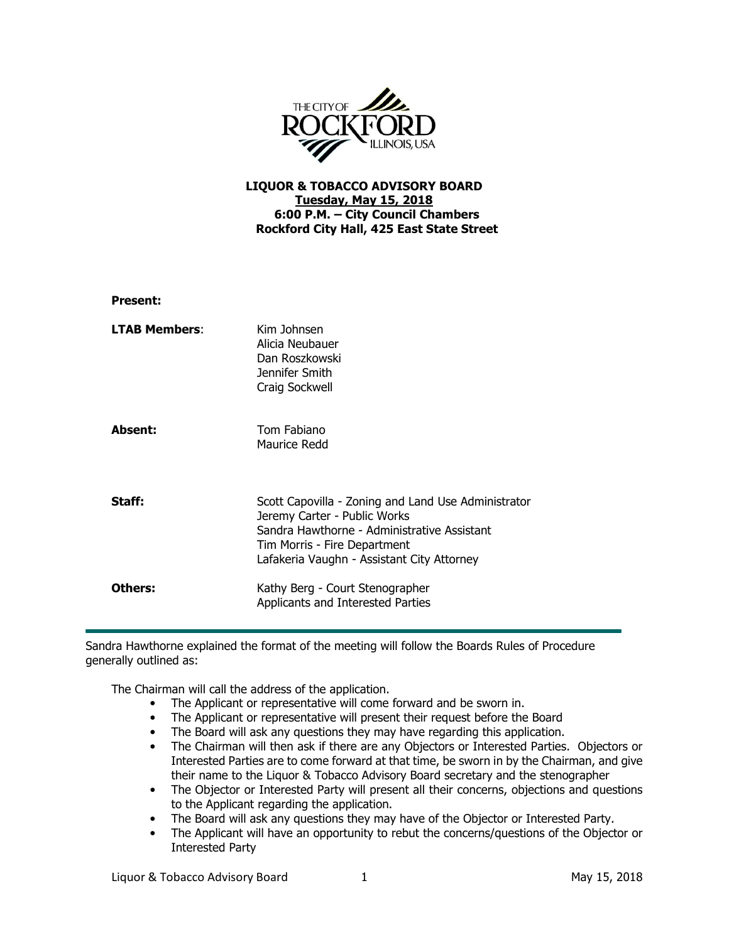

## LIQUOR & TOBACCO ADVISORY BOARD Tuesday, May 15, 2018 6:00 P.M. – City Council Chambers Rockford City Hall, 425 East State Street

| <b>Present:</b>      |                                                                                                                                                                                                                  |
|----------------------|------------------------------------------------------------------------------------------------------------------------------------------------------------------------------------------------------------------|
| <b>LTAB Members:</b> | Kim Johnsen<br>Alicia Neubauer<br>Dan Roszkowski<br>Jennifer Smith<br>Craig Sockwell                                                                                                                             |
| Absent:              | Tom Fabiano<br>Maurice Redd                                                                                                                                                                                      |
| Staff:               | Scott Capovilla - Zoning and Land Use Administrator<br>Jeremy Carter - Public Works<br>Sandra Hawthorne - Administrative Assistant<br>Tim Morris - Fire Department<br>Lafakeria Vaughn - Assistant City Attorney |
| Others:              | Kathy Berg - Court Stenographer<br>Applicants and Interested Parties                                                                                                                                             |

Sandra Hawthorne explained the format of the meeting will follow the Boards Rules of Procedure generally outlined as:

The Chairman will call the address of the application.

- The Applicant or representative will come forward and be sworn in.
- The Applicant or representative will present their request before the Board
- The Board will ask any questions they may have regarding this application.
- The Chairman will then ask if there are any Objectors or Interested Parties. Objectors or Interested Parties are to come forward at that time, be sworn in by the Chairman, and give their name to the Liquor & Tobacco Advisory Board secretary and the stenographer
- The Objector or Interested Party will present all their concerns, objections and questions to the Applicant regarding the application.
- The Board will ask any questions they may have of the Objector or Interested Party.
- The Applicant will have an opportunity to rebut the concerns/questions of the Objector or Interested Party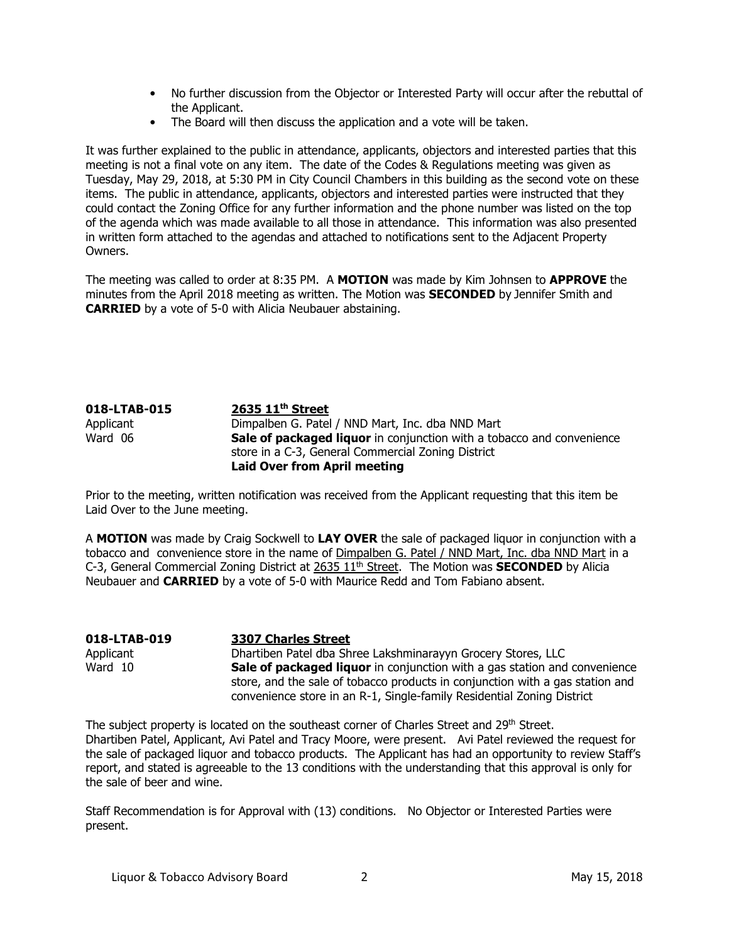- No further discussion from the Objector or Interested Party will occur after the rebuttal of the Applicant.
- The Board will then discuss the application and a vote will be taken.

It was further explained to the public in attendance, applicants, objectors and interested parties that this meeting is not a final vote on any item. The date of the Codes & Regulations meeting was given as Tuesday, May 29, 2018, at 5:30 PM in City Council Chambers in this building as the second vote on these items. The public in attendance, applicants, objectors and interested parties were instructed that they could contact the Zoning Office for any further information and the phone number was listed on the top of the agenda which was made available to all those in attendance. This information was also presented in written form attached to the agendas and attached to notifications sent to the Adjacent Property Owners.

The meeting was called to order at 8:35 PM. A MOTION was made by Kim Johnsen to APPROVE the minutes from the April 2018 meeting as written. The Motion was **SECONDED** by Jennifer Smith and CARRIED by a vote of 5-0 with Alicia Neubauer abstaining.

## 018-LTAB-015 2635 11<sup>th</sup> Street Applicant **Dimpalben G. Patel / NND Mart, Inc. dba NND Mart** Ward 06 and **Sale of packaged liquor** in conjunction with a tob Sale of packaged liquor in conjunction with a tobacco and convenience store in a C-3, General Commercial Zoning District Laid Over from April meeting

Prior to the meeting, written notification was received from the Applicant requesting that this item be Laid Over to the June meeting.

A MOTION was made by Craig Sockwell to LAY OVER the sale of packaged liquor in conjunction with a tobacco and convenience store in the name of Dimpalben G. Patel / NND Mart, Inc. dba NND Mart in a C-3, General Commercial Zoning District at  $2635$   $11<sup>th</sup>$  Street. The Motion was **SECONDED** by Alicia Neubauer and CARRIED by a vote of 5-0 with Maurice Redd and Tom Fabiano absent.

018-LTAB-019 3307 Charles Street Applicant **Dhartiben Patel dba Shree Lakshminarayyn Grocery Stores, LLC**<br>Ward 10 **Sale of packaged liguor** in conjunction with a gas station and Sale of packaged liquor in conjunction with a gas station and convenience store, and the sale of tobacco products in conjunction with a gas station and convenience store in an R-1, Single-family Residential Zoning District

The subject property is located on the southeast corner of Charles Street and 29th Street. Dhartiben Patel, Applicant, Avi Patel and Tracy Moore, were present. Avi Patel reviewed the request for the sale of packaged liquor and tobacco products. The Applicant has had an opportunity to review Staff's report, and stated is agreeable to the 13 conditions with the understanding that this approval is only for the sale of beer and wine.

Staff Recommendation is for Approval with (13) conditions. No Objector or Interested Parties were present.